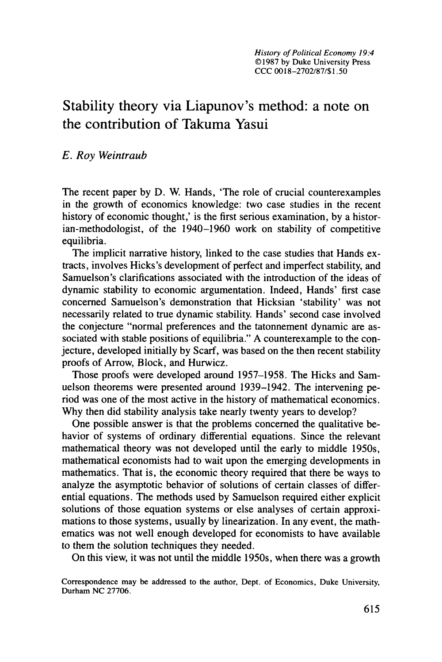## Stability theory via Liapunov's method: a note on **the** contribution of Takuma Yasui

*E. Roy Weintraub* 

The recent paper by D. W. Hands, 'The role of crucial counterexamples in the growth of economics knowledge: two case studies in the recent history of economic thought,' is the first serious examination, by a historian-methodologist, of the 1940–1960 work on stability of competitive equilibria.

The implicit narrative history, linked to the case studies that Hands extracts, involves Hicks's development of perfect and imperfect stability, and Samuelson's clarifications associated with the introduction of the ideas of dynamic stability to economic argumentation. Indeed, Hands' first case concerned Samuelson's demonstration that Hicksian 'stability' was not necessarily related to true dynamic stability. Hands' second case involved the conjecture "normal preferences and the tatonnement dynamic are associated with stable positions of equilibria." A counterexample to the conjecture, developed initially by Scarf, was based on the then recent stability proofs of Arrow, Block, and Hurwicz.

Those proofs were developed around **1957-1958.** The Hicks and Samuelson theorems were presented around 1939–1942. The intervening period was one of the most active in the history of mathematical economics. Why then did stability analysis take nearly twenty years to develop?

One possible answer is that the problems concerned the qualitative behavior of systems of ordinary differential equations. Since the relevant mathematical theory was not developed until the early to middle **1950s,**  mathematical economists had to wait upon the emerging developments in mathematics. That is, the economic theory required that there be ways to analyze the asymptotic behavior of solutions of certain classes 'of differential equations. The methods used by Samuelson required either explicit solutions of those equation systems or else analyses of certain approximations to those systems, usually by linearization. In any event, the mathematics was not well enough developed for economists to have available to them the solution techniques they needed.

On this view, it was not until the middle **1950s,** when there was a growth

**Correspondence may be addressed to the author, Dept. of Economics, Duke University, Durham NC 27706.**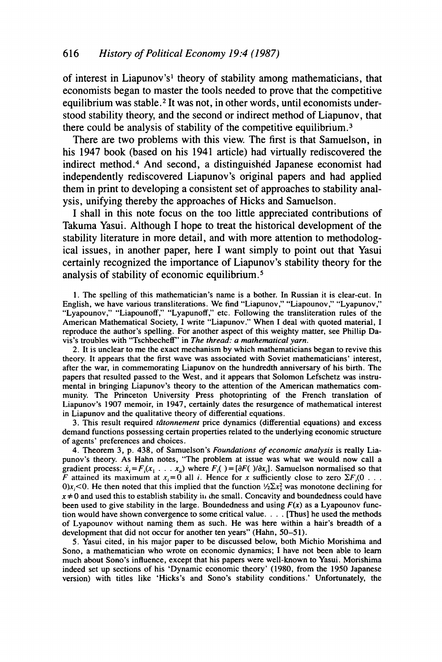of interest in Liapunov's<sup>1</sup> theory of stability among mathematicians, that economists began to master the tools needed to prove that the competitive equilibrium was stable.<sup>2</sup> It was not, in other words, until economists understood stability theory, and the second or indirect method of Liapunov, that there could be analysis of stability of the competitive equilibrium.<sup>3</sup>

There are two problems with this view. The first is that Samuelson, in his 1947 book (based on his 1941 article) had virtually rediscovered the indirect method.<sup>4</sup> And second, a distinguished Japanese economist had independently rediscovered Liapunov's original papers and had applied them in print to developing a consistent set of approaches to stability analysis, unifying thereby the approaches of Hicks and Samuelson.

I shall in this note focus on the too little appreciated contributions of Takuma Yasui. Although I hope to treat the historical development of the stability literature in more detail, and with more attention to methodological issues, in another paper, here I want simply to point out that Yasui certainly recognized the importance of Liapunov's stability theory for the analysis of stability of economic equilibrium.

**1.** The spelling of this mathematician's name is a bother. In Russian it is clear-cut. In English, we have various transliterations. We find "Liapunov," "Liapounov," "Lyapunov," English, we have various translictations. We find Englishev, Englishev, Eyapunov, Theorem and Englishev and Englishev and Englishev and Theorem and Theorem and Theorem and Theorem and Theorem and Theorem and Theorem and Th American Mathematical Society, I write "Liapunov." When I deal with quoted material, I reproduce the author's spelling. For another aspect of this weighty matter, see Phillip Davis's troubles with "Tschbecheff' in *The thread: a mathematical yarn.* 

*2.* It is unclear to me the exact mechanism by which mathematicians began to revive this theory. It appears that the first wave was associated with Soviet mathematicians' interest, after the war, in commemorating Liapunov on the hundredth anniversary of his birth. The papers that resulted passed to the West, and it appears that Solomon Lefschetz was instrumental in bringing Liapunov's theory to the attention of the American mathematics community. The Princeton University Press photoprinting of the French translation of Liapunov's **1907** memoir, in **1947,** certainly dates the resurgence of mathematical interest in Liapunov and the qualitative theory of differential equations.

**3.** This result required *tdtonnement* price dynamics (differential equations) and excess demand functions possessing certain properties related to the underlying economic structure of agents' preferences and choices.

**4.** Theorem **3,** p. **438,** of Samuelson's *Foundations of economic analysis* is really Liapunov's theory. **As** Hahn notes, "The problem at issue was what we would. now call a gradient process:  $\dot{x}_i = F_i(x_1 + \ldots + x_n)$  where  $F_i() = [\partial F(\cdot)/\partial x_i]$ . Samuelson normalised so that F attained its maximum at  $x_i = 0$  all *i*. Hence for *x* sufficiently close to zero  $\Sigma F_i(0 \ldots$ *O)x<sub>i</sub>*<0. He then noted that this implied that the function  $\frac{1}{2}\sum x_i^2$  was monotone declining for  $x \neq 0$  and used this to establish stability in the small. Concavity and boundedness could have been used to give stability in the large. Boundedness and using  $F(x)$  as a Lyapounov function would have shown convergence to some critical value. . . . [Thus] he used the methods of Lyapounov without naming them as such. He was here within a hair's breadth of a development that did not occur for another ten years" (Hahn, **50-51).** 

**5.** Yasui cited, in his major paper to be discussed below, both Michio Morishima and Sono, a mathematician who wrote on economic dynamics; I have not been able to learn much about Sono's influence, except that his papers were well-known **to** Yasui. Morishima indeed set up sections of his 'Dynamic economic theory' **(1980,** from the **1950** Japanese version) with titles like 'Hicks's and Sono's stability conditions.' Unfortunately, the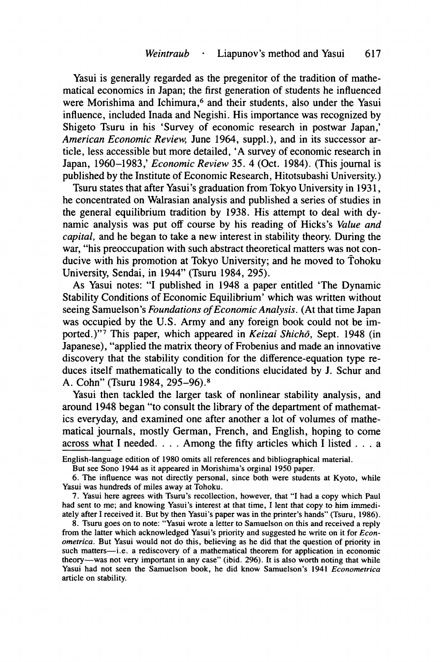Yasui is generally regarded as the pregenitor of the tradition of mathematical economics in Japan; the first generation of students he influenced were Morishima and Ichimura,<sup>6</sup> and their students, also under the Yasui influence, included Inada and Negishi. His importance was recognized by Shigeto Tsuru in his 'Survey of economic research in postwar Japan,' *American Economic Review,* June 1964, suppl.), and in its successor article, less accessible but more detailed, 'A survey of economic research in Japan, 1960-1983,' *Economic Review* 35. 4 (Oct. 1984). (This journal is published by the Institute of Economic Research, Hitotsubashi University.)

Tsuru states that after Yasui's graduation from Tokyo University in 1931, he concentrated on Walrasian analysis and published a series of studies in the general equilibrium tradition by 1938. His attempt to deal with dynamic analysis was put off course by his reading of Hicks's *Value and capital,* and he began to take a new interest in stability theory. During the war, "his preoccupation with such abstract theoretical matters was not conducive with his promotion at Tokyo University; and he moved to Tohoku University, Sendai, in 1944" (Tsuru 1984, 295).

As Yasui notes: "I published in 1948 a paper entitled 'The Dynamic Stability Conditions of Economic Equilibrium' which was written without seeing Samuelson's *Foundations* of *Economic Analysis.* (At that time Japan was occupied by the U.S. Army and any foreign book could not be imported.)"<sup>7</sup> This paper, which appeared in *Keizai Shichō*, Sept. 1948 (in Japanese), "applied the matrix theory of Frobenius and made an innovative discovery that the stability condition for the difference-equation type reduces itself mathematically to the conditions elucidated by J. Schur and A. Cohn" (Tsuru 1984, 295-96).\*

Yasui then tackled the larger task of nonlinear stability analysis, and around 1948 began "to consult the library of the department of mathematics everyday, and examined one after another a lot of volumes of mathematical journals, mostly German, French, and English, hoping to come across what I needed. . . . Among the fifty articles which I listed . . . a

English-language edition of **1980** omits all references and bibliographical material.

But see Sono **1944** as it appeared in Morishima's orginal **1950** paper.

**6.** The influence was not directly personal, since both were students at Kyoto, while Yasui was hundreds of miles away at Tohoku.

**7.** Yasui here agrees with Tsuru's recollection, however, that "I had a copy which Paul had sent to me; and knowing Yasui's interest at that time, I lent that copy to him immediately after I received it. But by then Yasui's paper was in the printer's hands" (Tsuru, **1986).** 

**8.** Tsuru goes on to note: "Yasui wrote a letter to Samuelson on this and received **a** reply from the latter which acknowledged Yasui's priority and suggested he write on it for *Econometricu.* But Yasui would not do this, believing as he did that the question of priority in such matters-i.e. a rediscovery of a mathematical theorem for application in economic theory-was not very important in any case" (ibid. **296).** It is also worth noting that while Yasui had not seen the Samuelson book, he did know Samuelson's **1941** *Econometricu*  article **on** stability.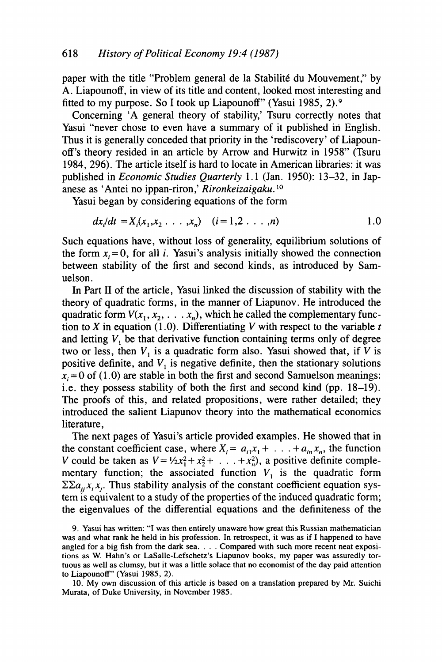paper with the title "Problem general de la Stabilité du Mouvement," by A. Liapounoff, in view of its title and content, looked most interesting and fitted to my purpose. *So* I took up Liapounoff' (Yasui **1985, 2).9** 

Concerning **'A** general theory of stability,' Tsuru correctly notes that Yasui "never chose to even have a summary of it published in English. Thus it is generally conceded that priority in the 'rediscovery' of Liapounoff's theory resided in an article by Arrow and Hurwitz in **1958"** (Tsuru **1984, 296).** The article itself is hard to locate in American libraries: it was published in *Economic Studies Quarterly* **1.1** (Jan. **1950): 13-32,** in Japanese as ' Antei no ippan-riron ,' *Rironkeizaigaku.* lo

Yasui began by considering equations of the form

$$
dx_i/dt = X_i(x_1, x_2 \ldots, x_n) \quad (i = 1, 2 \ldots, n)
$$

Such equations have, without loss of generality, equilibrium solutions of the form  $x_i = 0$ , for all *i*. Yasui's analysis initially showed the connection between stability of the first and second kinds, as introduced by Samuelson.

In Part I1 of the article, Yasui linked the discussion of stability with the theory of quadratic forms, in the manner of Liapunov. He introduced the quadratic form  $V(x_1, x_2, \ldots, x_n)$ , which he called the complementary function to  $X$  in equation (1.0). Differentiating  $V$  with respect to the variable  $t$ and letting *V,* be that derivative function containing terms only of degree two or less, then  $V_1$  is a quadratic form also. Yasui showed that, if *V* is positive definite, and *V,* is negative definite, then the stationary solutions  $x_i = 0$  of (1.0) are stable in both the first and second Samuelson meanings: i.e. they possess stability of both the first and second kind (pp. **18-19).**  The proofs of this, and related propositions, were rather detailed; they introduced the salient Liapunov theory into the mathematical economics literature,

The next pages of Yasui's article provided examples. He showed that in the constant coefficient case, where  $X_i = a_{i1}x_1 + \ldots + a_{in}x_n$ , the function *V* could be taken as  $V = \frac{1}{2}x_1^2 + x_2^2 + \ldots + x_n^2$ , a positive definite complementary function; the associated function  $V_1$  is the quadratic form  $\Sigma \Sigma a_{ii} x_i x_j$ . Thus stability analysis of the constant coefficient equation system **is** equivalent to a study of the properties of the induced quadratic form; the eigenvalues of the differential equations and the definiteness of the

**<sup>9.</sup> Yasui has written: "I was then entirely unaware how great this Russian mathematician was and what rank he held in his profession. In retrospect, it was as if I happened to have angled for a big fish from the dark sea.** . . . **Compared with such more recent neat exposi**tions as W. Hahn's or LaSalle-Lefschetz's Liapunov books, my paper was assuredly tor**tuous as well as clumsy, but it was a little solace that no economist of the day paid attention to Liapounoff' (Yasui 1985, 2).** 

**<sup>10.</sup> My own discussion of this article is based on a translation prepared by Mr. Suichi Murata, of Duke University, in November 1985.**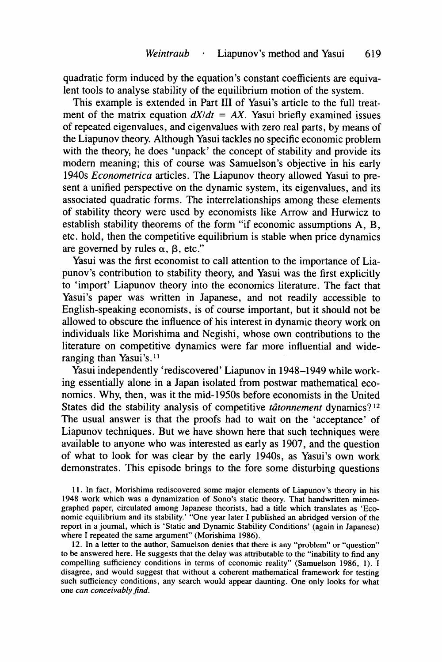quadratic form induced by the equation's constant coefficients are equivalent tools to analyse stability of the equilibrium motion of the system.

This example is extended in Part **I11** of Yasui's article to the full treatment of the matrix equation  $dX/dt = AX$ . Yasui briefly examined issues of repeated eigenvalues, and eigenvalues with zero real parts, by means of the Liapunov theory. Although Yasui tackles no specific economic problem with the theory, he does 'unpack' the concept of stability and provide its modem meaning; this of course was Samuelson's objective in his early 1940s *Econometricu* articles. The Liapunov theory allowed Yasui to present a unified perspective on the dynamic system, its eigenvalues, and its associated quadratic forms. The interrelationships among these elements of stability theory were used by economists like Arrow and Hurwicz to establish stability theorems of the form "if economic assumptions A, B, etc. hold, then the competitive equilibrium is stable when price dynamics are governed by rules  $\alpha$ ,  $\beta$ , etc."

Yasui was the first economist to call attention to the importance of Liapunov's contribution to stability theory, and Yasui was the first explicitly to 'import' Liapunov theory into the economics literature. The fact that Yasui's paper was written in Japanese, and not readily accessible to English-speaking economists, is of course important, but it should not be allowed to obscure the influence of his interest in dynamic theory work on individuals like Morishima and Negishi, whose own contributions to the literature on competitive dynamics were far more influential and wideranging than Yasui's.<sup>11</sup>

Yasui independently 'rediscovered' Liapunov in 1948-1949 while working essentially alone in a Japan isolated from postwar mathematical economics. Why, then, was it the mid-1950s before economists in the United States did the stability analysis of competitive *tâtonnement* dynamics?<sup>12</sup> The usual answer is that the proofs had to wait on the 'acceptance' **of**  Liapunov techniques. But we have shown here that such techniques were available to anyone who was interested as early as 1907, and the question of what to look for was clear by the early 1940s, as Yasui's own work demonstrates. This episode brings to the fore some disturbing questions

**12.** In a letter to the author, Samuelson denies that there is any "problem" or "question" to be answered here. He suggests that the delay was attributable to the "inability to find any compelling sufficiency conditions in terms of economic reality" (Samuelson **1986, 1).** I disagree, and would suggest that without a coherent mathematical framework for testing such sufficiency conditions, any search would appear daunting. One only looks for what one *can conceivably find.* 

**<sup>11.</sup>** In fact, Morishima rediscovered some major elements of Liapunov's theory in his **1948** work which was a dynamization of Sono's static theory. That handwritten mimeographed paper, circulated among Japanese theorists, had a title which translates as 'Economic equilibrium and its stability.' "One year later I published an abridged version of the report in a journal, which is 'Static and Dynamic Stability Conditions' (again in Japanese) where I repeated the same argument" (Morishima **1986).**